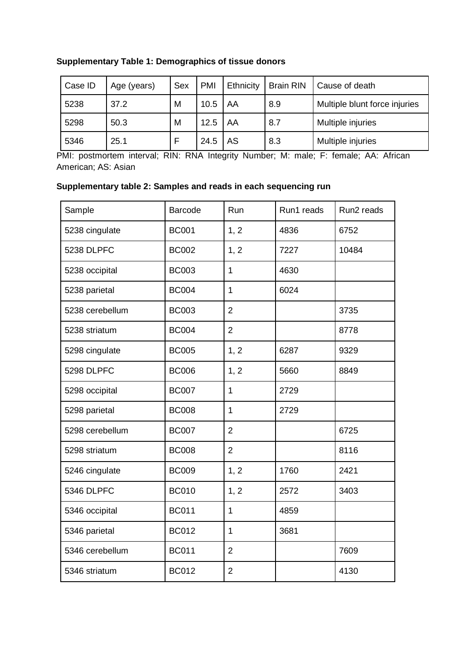| Case ID | Age (years) | Sex | <b>PMI</b> | Ethnicity | <b>Brain RIN</b> | Cause of death                |
|---------|-------------|-----|------------|-----------|------------------|-------------------------------|
| 5238    | 37.2        | M   | 10.5       | AA        | 8.9              | Multiple blunt force injuries |
| 5298    | 50.3        | M   | 12.5       | AA        | 8.7              | Multiple injuries             |
| 5346    | 25.1        |     | 24.5       | AS        | 8.3              | Multiple injuries             |

## **Supplementary Table 1: Demographics of tissue donors**

PMI: postmortem interval; RIN: RNA Integrity Number; M: male; F: female; AA: African American; AS: Asian

## **Supplementary table 2: Samples and reads in each sequencing run**

| Sample            | <b>Barcode</b> | Run            | Run1 reads | Run <sub>2</sub> reads |
|-------------------|----------------|----------------|------------|------------------------|
| 5238 cingulate    | <b>BC001</b>   | 1, 2           | 4836       | 6752                   |
| <b>5238 DLPFC</b> | <b>BC002</b>   | 1, 2           | 7227       | 10484                  |
| 5238 occipital    | <b>BC003</b>   | $\mathbf{1}$   | 4630       |                        |
| 5238 parietal     | <b>BC004</b>   | $\mathbf{1}$   | 6024       |                        |
| 5238 cerebellum   | <b>BC003</b>   | $\overline{2}$ |            | 3735                   |
| 5238 striatum     | <b>BC004</b>   | $\overline{2}$ |            | 8778                   |
| 5298 cingulate    | <b>BC005</b>   | 1, 2           | 6287       | 9329                   |
| 5298 DLPFC        | <b>BC006</b>   | 1, 2           | 5660       | 8849                   |
| 5298 occipital    | <b>BC007</b>   | $\mathbf{1}$   | 2729       |                        |
| 5298 parietal     | <b>BC008</b>   | $\mathbf{1}$   | 2729       |                        |
| 5298 cerebellum   | <b>BC007</b>   | $\overline{2}$ |            | 6725                   |
| 5298 striatum     | <b>BC008</b>   | $\overline{2}$ |            | 8116                   |
| 5246 cingulate    | <b>BC009</b>   | 1, 2           | 1760       | 2421                   |
| 5346 DLPFC        | <b>BC010</b>   | 1, 2           | 2572       | 3403                   |
| 5346 occipital    | <b>BC011</b>   | $\mathbf{1}$   | 4859       |                        |
| 5346 parietal     | <b>BC012</b>   | $\mathbf{1}$   | 3681       |                        |
| 5346 cerebellum   | <b>BC011</b>   | $\overline{2}$ |            | 7609                   |
| 5346 striatum     | <b>BC012</b>   | $\overline{2}$ |            | 4130                   |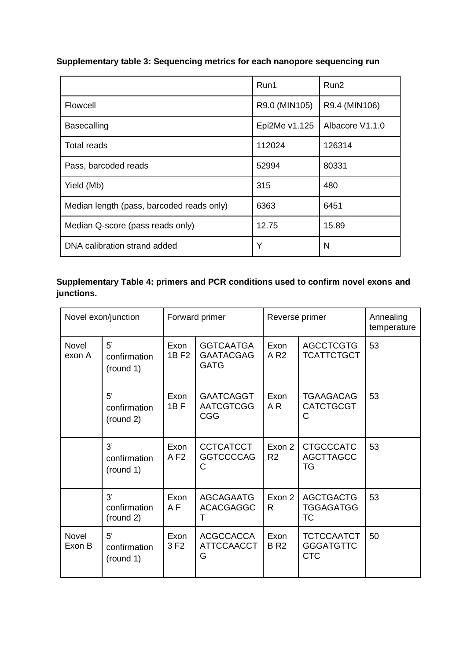|                                           | Run1          | Run <sub>2</sub> |
|-------------------------------------------|---------------|------------------|
| Flowcell                                  | R9.0 (MIN105) | R9.4 (MIN106)    |
| <b>Basecalling</b>                        | Epi2Me v1.125 | Albacore V1.1.0  |
| Total reads                               | 112024        | 126314           |
| Pass, barcoded reads                      | 52994         | 80331            |
| Yield (Mb)                                | 315           | 480              |
| Median length (pass, barcoded reads only) | 6363          | 6451             |
| Median Q-score (pass reads only)          | 12.75         | 15.89            |
| DNA calibration strand added              | Y             | N                |

# **Supplementary table 3: Sequencing metrics for each nanopore sequencing run**

## **Supplementary Table 4: primers and PCR conditions used to confirm novel exons and junctions.**

| Novel exon/junction    |                                 | Forward primer            |                                                     | Reverse primer           |                                                     | Annealing<br>temperature |
|------------------------|---------------------------------|---------------------------|-----------------------------------------------------|--------------------------|-----------------------------------------------------|--------------------------|
| <b>Novel</b><br>exon A | 5'<br>confirmation<br>(round 1) | Exon<br>1B F <sub>2</sub> | <b>GGTCAATGA</b><br><b>GAATACGAG</b><br><b>GATG</b> | Exon<br>A R <sub>2</sub> | <b>AGCCTCGTG</b><br><b>TCATTCTGCT</b>               | 53                       |
|                        | 5'<br>confirmation<br>(round 2) | Exon<br>$1B$ F            | <b>GAATCAGGT</b><br><b>AATCGTCGG</b><br><b>CGG</b>  | Exon<br>A R              | <b>TGAAGACAG</b><br><b>CATCTGCGT</b><br>C           | 53                       |
|                        | 3'<br>confirmation<br>(round 1) | Exon<br>AF <sub>2</sub>   | <b>CCTCATCCT</b><br><b>GGTCCCCAG</b><br>С           | Exon 2<br>R <sub>2</sub> | <b>CTGCCCATC</b><br><b>AGCTTAGCC</b><br>TG          | 53                       |
|                        | 3'<br>confirmation<br>(round 2) | Exon<br>A F               | <b>AGCAGAATG</b><br><b>ACACGAGGC</b><br>т           | Exon 2<br>R              | <b>AGCTGACTG</b><br><b>TGGAGATGG</b><br>ТC          | 53                       |
| <b>Novel</b><br>Exon B | 5'<br>confirmation<br>(round 1) | Exon<br>3F2               | <b>ACGCCACCA</b><br><b>ATTCCAACCT</b><br>G          | Exon<br><b>BR2</b>       | <b>TCTCCAATCT</b><br><b>GGGATGTTC</b><br><b>CTC</b> | 50                       |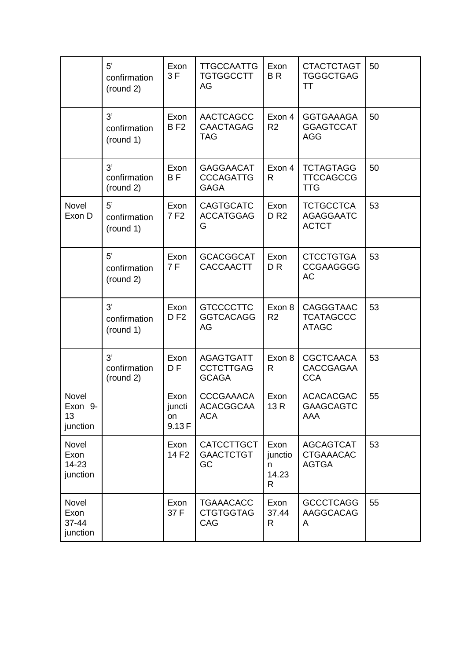|                                    | 5'<br>confirmation<br>(round 2) | Exon<br>3F                           | <b>TTGCCAATTG</b><br><b>TGTGGCCTT</b><br>AG          | Exon<br><b>BR</b>                  | <b>CTACTCTAGT</b><br><b>TGGGCTGAG</b><br>TT          | 50 |
|------------------------------------|---------------------------------|--------------------------------------|------------------------------------------------------|------------------------------------|------------------------------------------------------|----|
|                                    | 3'<br>confirmation<br>(round 1) | Exon<br><b>BF2</b>                   | <b>AACTCAGCC</b><br><b>CAACTAGAG</b><br><b>TAG</b>   | Exon 4<br>R <sub>2</sub>           | <b>GGTGAAAGA</b><br><b>GGAGTCCAT</b><br><b>AGG</b>   | 50 |
|                                    | 3'<br>confirmation<br>(round 2) | Exon<br><b>BF</b>                    | <b>GAGGAACAT</b><br><b>CCCAGATTG</b><br><b>GAGA</b>  | Exon 4<br>R                        | <b>TCTAGTAGG</b><br><b>TTCCAGCCG</b><br><b>TTG</b>   | 50 |
| Novel<br>Exon D                    | 5'<br>confirmation<br>(round 1) | Exon<br>7F2                          | <b>CAGTGCATC</b><br><b>ACCATGGAG</b><br>G            | Exon<br><b>DR2</b>                 | <b>TCTGCCTCA</b><br><b>AGAGGAATC</b><br><b>ACTCT</b> | 53 |
|                                    | 5'<br>confirmation<br>(round 2) | Exon<br>7F                           | <b>GCACGGCAT</b><br><b>CACCAACTT</b>                 | Exon<br>D <sub>R</sub>             | <b>CTCCTGTGA</b><br><b>CCGAAGGGG</b><br><b>AC</b>    | 53 |
|                                    | 3'<br>confirmation<br>(round 1) | Exon<br>D F2                         | <b>GTCCCCTTC</b><br><b>GGTCACAGG</b><br>AG           | Exon 8<br>R <sub>2</sub>           | <b>CAGGGTAAC</b><br><b>TCATAGCCC</b><br><b>ATAGC</b> | 53 |
|                                    | 3'<br>confirmation<br>(round 2) | Exon<br>D <sub>F</sub>               | <b>AGAGTGATT</b><br><b>CCTCTTGAG</b><br><b>GCAGA</b> | Exon 8<br>R                        | <b>CGCTCAACA</b><br><b>CACCGAGAA</b><br><b>CCA</b>   | 53 |
| Novel<br>Exon 9-<br>13<br>junction |                                 | Exon<br>juncti<br><b>on</b><br>9.13F | <b>CCCGAAACA</b><br><b>ACACGGCAA</b><br><b>ACA</b>   | Exon<br>13 R                       | <b>ACACACGAC</b><br><b>GAAGCAGTC</b><br>AAA          | 55 |
| Novel<br>Exon<br>14-23<br>junction |                                 | Exon<br>14 F <sub>2</sub>            | <b>CATCCTTGCT</b><br><b>GAACTCTGT</b><br>GC          | Exon<br>junctio<br>n<br>14.23<br>R | <b>AGCAGTCAT</b><br><b>CTGAAACAC</b><br><b>AGTGA</b> | 53 |
| Novel<br>Exon<br>37-44<br>junction |                                 | Exon<br>37 F                         | <b>TGAAACACC</b><br><b>CTGTGGTAG</b><br>CAG          | Exon<br>37.44<br>R                 | <b>GCCCTCAGG</b><br>AAGGCACAG<br>A                   | 55 |